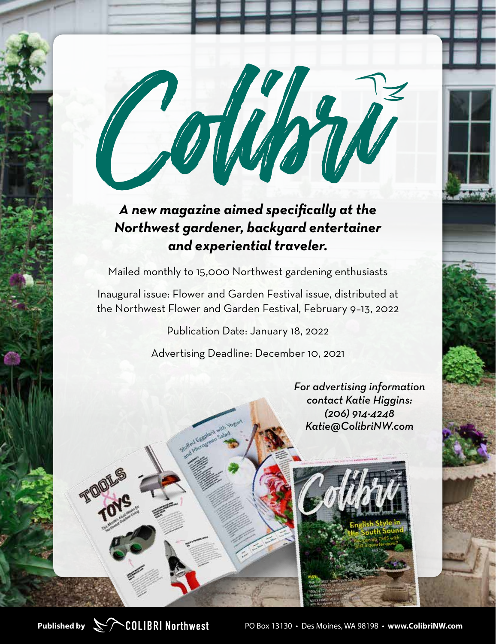### *A new magazine aimed specifically at the Northwest gardener, backyard entertainer and experiential traveler.*

Mailed monthly to 15,000 Northwest gardening enthusiasts

Inaugural issue: Flower and Garden Festival issue, distributed at the Northwest Flower and Garden Festival, February 9–13, 2022

Publication Date: January 18, 2022

Advertising Deadline: December 10, 2021

*For advertising information contact Katie Higgins: (206) 914-4248 Katie@ColibriNW.com*



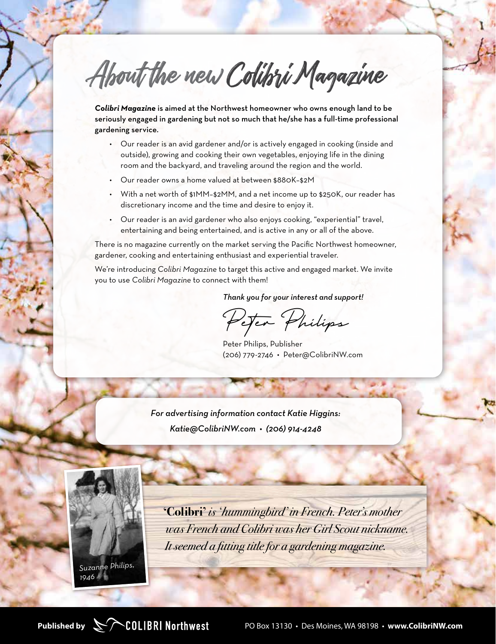About the new Colibri Magazine

*Colibri Magazine* is aimed at the Northwest homeowner who owns enough land to be seriously engaged in gardening but not so much that he/she has a full-time professional gardening service.

- Our reader is an avid gardener and/or is actively engaged in cooking (inside and outside), growing and cooking their own vegetables, enjoying life in the dining room and the backyard, and traveling around the region and the world.
- Our reader owns a home valued at between \$880K–\$2M
- With a net worth of \$1MM–\$2MM, and a net income up to \$250K, our reader has discretionary income and the time and desire to enjoy it.
- Our reader is an avid gardener who also enjoys cooking, "experiential" travel, entertaining and being entertained, and is active in any or all of the above.

There is no magazine currently on the market serving the Pacific Northwest homeowner, gardener, cooking and entertaining enthusiast and experiential traveler.

We're introducing *Colibri Magazine* to target this active and engaged market. We invite you to use *Colibri Magazine* to connect with them!

*Thank you for your interest and support!*

Peter Philips

Peter Philips, Publisher (206) 779-2746 • Peter@ColibriNW.com

*For advertising information contact Katie Higgins: Katie@ColibriNW.com • (206) 914-4248*



**'Colibri'** *is ' hummingbird' in French. Peter's mother was French and Colibri was her Girl Scout nickname. It seemed a fitting title for a gardening magazine.*

*1946*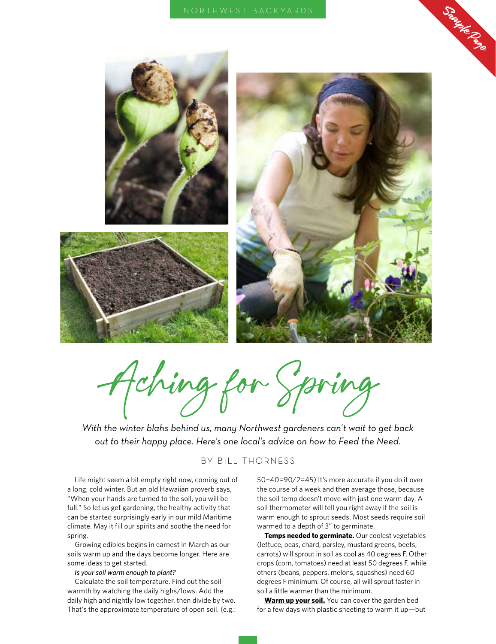

Aching for Spring

*With the winter blahs behind us, many Northwest gardeners can't wait to get back out to their happy place. Here's one local's advice on how to Feed the Need.*

#### BY BILL THORNESS

Life might seem a bit empty right now, coming out of a long, cold winter. But an old Hawaiian proverb says, "When your hands are turned to the soil, you will be full." So let us get gardening, the healthy activity that can be started surprisingly early in our mild Maritime climate. May it fill our spirits and soothe the need for spring.

Growing edibles begins in earnest in March as our soils warm up and the days become longer. Here are some ideas to get started.

#### *Is your soil warm enough to plant?*

Calculate the soil temperature. Find out the soil warmth by watching the daily highs/lows. Add the daily high and nightly low together, then divide by two. That's the approximate temperature of open soil. (e.g.: 50+40=90/2=45) It's more accurate if you do it over the course of a week and then average those, because the soil temp doesn't move with just one warm day. A soil thermometer will tell you right away if the soil is warm enough to sprout seeds. Most seeds require soil warmed to a depth of 3" to germinate.

**Temps needed to germinate.** Our coolest vegetables (lettuce, peas, chard, parsley, mustard greens, beets, carrots) will sprout in soil as cool as 40 degrees F. Other crops (corn, tomatoes) need at least 50 degrees F, while others (beans, peppers, melons, squashes) need 60 degrees F minimum. Of course, all will sprout faster in soil a little warmer than the minimum.

**Warm up your soil.** You can cover the garden bed for a few days with plastic sheeting to warm it up—but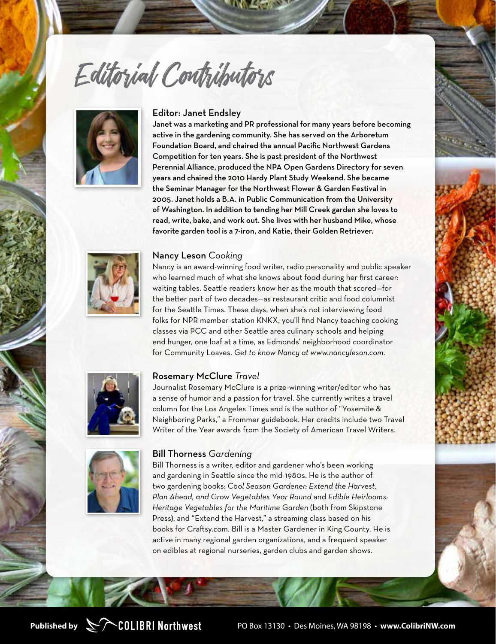Editorial Contributors



#### Editor: Janet Endsley

Janet was a marketing and PR professional for many years before becoming active in the gardening community. She has served on the Arboretum Foundation Board, and chaired the annual Pacific Northwest Gardens Competition for ten years. She is past president of the Northwest Perennial Alliance, produced the NPA Open Gardens Directory for seven years and chaired the 2010 Hardy Plant Study Weekend. She became the Seminar Manager for the Northwest Flower & Garden Festival in 2005. Janet holds a B.A. in Public Communication from the University of Washington. In addition to tending her Mill Creek garden she loves to read, write, bake, and work out. She lives with her husband Mike, whose favorite garden tool is a 7-iron, and Katie, their Golden Retriever.



#### Nancy Leson *Cooking*

Nancy is an award-winning food writer, radio personality and public speaker who learned much of what she knows about food during her first career: waiting tables. Seattle readers know her as the mouth that scored—for the better part of two decades—as restaurant critic and food columnist for the Seattle Times. These days, when she's not interviewing food folks for NPR member-station KNKX, you'll find Nancy teaching cooking classes via PCC and other Seattle area culinary schools and helping end hunger, one loaf at a time, as Edmonds' neighborhood coordinator for Community Loaves. *Get to know Nancy at www.nancyleson.com.*



#### Rosemary McClure *Travel*

Journalist Rosemary McClure is a prize-winning writer/editor who has a sense of humor and a passion for travel. She currently writes a travel column for the Los Angeles Times and is the author of "Yosemite & Neighboring Parks," a Frommer guidebook. Her credits include two Travel Writer of the Year awards from the Society of American Travel Writers.



#### Bill Thorness *Gardening*

Bill Thorness is a writer, editor and gardener who's been working and gardening in Seattle since the mid-1980s. He is the author of two gardening books: *Cool Season Gardener: Extend the Harvest, Plan Ahead, and Grow Vegetables Year Round* and *Edible Heirlooms: Heritage Vegetables for the Maritime Garden* (both from Skipstone Press), and "Extend the Harvest," a streaming class based on his books for Craftsy.com. Bill is a Master Gardener in King County. He is active in many regional garden organizations, and a frequent speaker on edibles at regional nurseries, garden clubs and garden shows.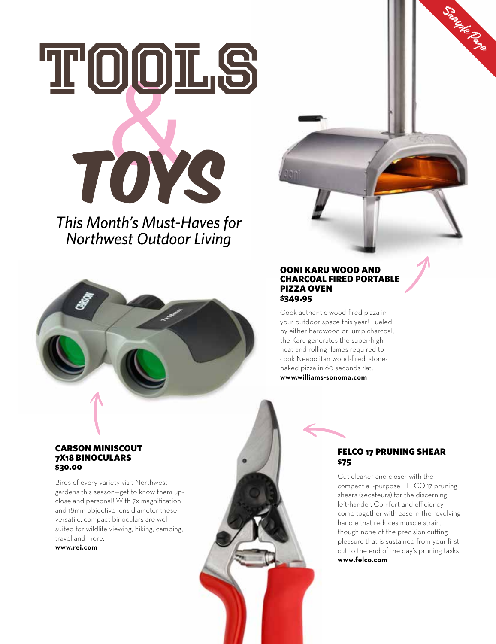# TOOIG TOYS

*This Month's Must-Haves for Northwest Outdoor Living*



#### OONI KARU WOOD AND CHARCOAL FIRED PORTABLE PIZZA OVEN \$349.95

Cook authentic wood-fired pizza in your outdoor space this year! Fueled by either hardwood or lump charcoal, the Karu generates the super-high heat and rolling flames required to cook Neapolitan wood-fired, stonebaked pizza in 60 seconds flat. **www.williams-sonoma.com**

#### CARSON MINISCOUT 7X18 BINOCULARS \$30.00

Birds of every variety visit Northwest gardens this season—get to know them upclose and personal! With 7x magnification and 18mm objective lens diameter these versatile, compact binoculars are well suited for wildlife viewing, hiking, camping, travel and more.

**www.rei.com**

#### FELCO 17 PRUNING SHEAR \$75

Sample Page

Cut cleaner and closer with the compact all-purpose FELCO 17 pruning shears (secateurs) for the discerning left-hander. Comfort and efficiency come together with ease in the revolving handle that reduces muscle strain, though none of the precision cutting pleasure that is sustained from your first cut to the end of the day's pruning tasks. **www.felco.com**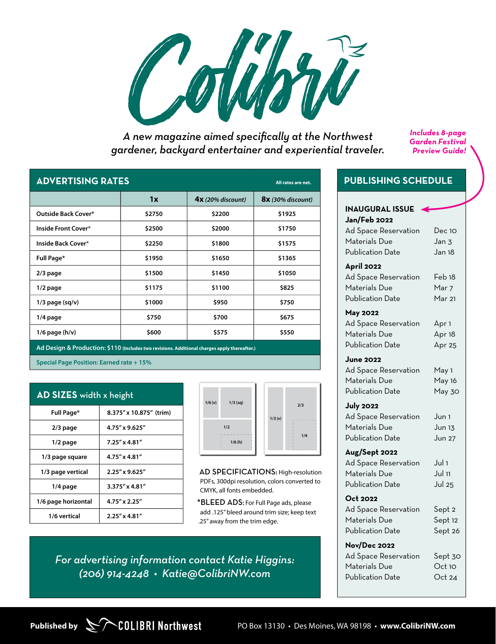

*A new magazine aimed specifically at the Northwest gardener, backyard entertainer and experiential traveler.* *Includes 8-page Garden Festival Preview Guide!*

#### **ADVERTISING RATES All rates are net.**

| AP TERTIVING RATES<br>All rates are net.                                                     |        |                     |                     |  |
|----------------------------------------------------------------------------------------------|--------|---------------------|---------------------|--|
|                                                                                              | 1x     | $4x$ (20% discount) | $8x$ (30% discount) |  |
| Outside Back Cover*                                                                          | \$2750 | \$2200              | \$1925              |  |
| Inside Front Cover*                                                                          | \$2500 | \$2000              | \$1750              |  |
| Inside Back Cover*                                                                           | \$2250 | \$1800              | \$1575              |  |
| Full Page*                                                                                   | \$1950 | \$1650              | \$1365              |  |
| $2/3$ page                                                                                   | \$1500 | \$1450              | \$1050              |  |
| $1/2$ page                                                                                   | \$1175 | \$1100              | \$825               |  |
| $1/3$ page (sq/v)                                                                            | \$1000 | \$950               | \$750               |  |
| 1/4 page                                                                                     | \$750  | \$700               | \$675               |  |
| $1/6$ page (h/v)                                                                             | \$600  | \$575               | \$550               |  |
| Ad Design & Production: \$110 (Includes two revisions. Additional charges apply thereafter.) |        |                     |                     |  |

**Special Page Position: Earned rate + 15%**

| AD SIZES width x height |                         |  |  |
|-------------------------|-------------------------|--|--|
| Full Page*              | 8.375" x 10.875" (trim) |  |  |
| $2/3$ page              | 4.75" x 9.625"          |  |  |
| $1/2$ page              | $7.25'' \times 4.81''$  |  |  |
| 1/3 page square         | $4.75'' \times 4.81''$  |  |  |
| 1/3 page vertical       | 2.25" x 9.625"          |  |  |
| $1/4$ page              | $3.375'' \times 4.81''$ |  |  |
| 1/6 page horizontal     | 4.75" x 2.25"           |  |  |
| 1/6 vertical            | $2.25'' \times 4.81''$  |  |  |



AD SPECIFICATIONS: High-resolution PDFs, 300dpi resolution, colors converted to CMYK, all fonts embedded.

\*BLEED ADS**:** For Full Page ads, please add .125" bleed around trim size; keep text .25" away from the trim edge.

*For advertising information contact Katie Higgins: (206) 914-4248 • Katie@ColibriNW.com*

#### **PUBLISHING SCHEDULE**

| <b>INAUGURAL ISSUE</b><br><b>Jan/Feb 2022</b> |                   |
|-----------------------------------------------|-------------------|
| Ad Space Reservation                          | Dec 10            |
| Materials Due                                 | Jan 3             |
| <b>Publication Date</b>                       | Jan 18            |
| <b>April 2022</b>                             |                   |
| <b>Ad Space Reservation</b>                   | Feb 18            |
| Materials Due                                 | Mar 7             |
| <b>Publication Date</b>                       | Mar 21            |
| <b>May 2022</b>                               |                   |
| Ad Space Reservation                          | Apr <sub>1</sub>  |
| Materials Due                                 | Apr <sub>18</sub> |
| <b>Publication Date</b>                       | Apr 25            |
| <b>June 2022</b>                              |                   |
| Ad Space Reservation                          | May 1             |
| Materials Due                                 | May 16            |
| <b>Publication Date</b>                       | May 30            |
| <b>July 2022</b>                              |                   |
| Ad Space Reservation                          | Jun 1             |
| Materials Due                                 | Jun 13            |
| <b>Publication Date</b>                       | Jun 27            |
| Aug/Sept 2022                                 |                   |
| <b>Ad Space Reservation</b>                   | Jul 1             |
| Materials Due                                 | Jul 11            |
| <b>Publication Date</b>                       | <b>Jul 25</b>     |
| Oct 2022                                      |                   |
| Ad Space Reservation                          | Sept 2            |
| Materials Due                                 | Sept 12           |
| <b>Publication Date</b>                       | Sept 26           |
| <b>Nov/Dec 2022</b>                           |                   |
| Ad Space Reservation                          | Sept 30           |
| Materials Due                                 | $Oct$ 10          |
| <b>Publication Date</b>                       | Oct 24            |
|                                               |                   |



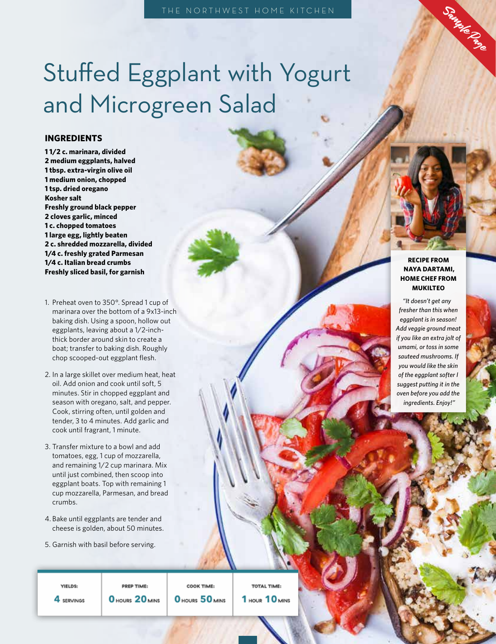## Stuffed Eggplant with Yogurt and Microgreen Salad

#### **INGREDIENTS**

**1 1/2 c. marinara, divided 2 medium eggplants, halved 1 tbsp. extra-virgin olive oil 1 medium onion, chopped 1 tsp. dried oregano Kosher salt Freshly ground black pepper 2 cloves garlic, minced 1 c. chopped tomatoes 1 large egg, lightly beaten 2 c. shredded mozzarella, divided 1/4 c. freshly grated Parmesan 1/4 c. Italian bread crumbs Freshly sliced basil, for garnish**

- 1. Preheat oven to 350°. Spread 1 cup of marinara over the bottom of a 9x13-inch baking dish. Using a spoon, hollow out eggplants, leaving about a 1/2-inchthick border around skin to create a boat; transfer to baking dish. Roughly chop scooped-out eggplant flesh.
- 2. In a large skillet over medium heat, heat oil. Add onion and cook until soft, 5 minutes. Stir in chopped eggplant and season with oregano, salt, and pepper. Cook, stirring often, until golden and tender, 3 to 4 minutes. Add garlic and cook until fragrant, 1 minute.
- 3. Transfer mixture to a bowl and add tomatoes, egg, 1 cup of mozzarella, and remaining 1/2 cup marinara. Mix until just combined, then scoop into eggplant boats. Top with remaining 1 cup mozzarella, Parmesan, and bread crumbs.
- 4. Bake until eggplants are tender and cheese is golden, about 50 minutes.
- 5. Garnish with basil before serving.

#### **RECIPE FROM NAYA DARTAMI, HOME CHEF FROM MUKILTEO**

Saute Page

*"It doesn't get any fresher than this when eggplant is in season! Add veggie ground meat if you like an extra jolt of umami, or toss in some sauteed mushrooms. If you would like the skin of the eggplant softer I suggest putting it in the oven before you add the ingredients. Enjoy!"*

YIELDS: 4 SERVINGS

PREP TIME: O HOURS 20 MINS

COOK TIME: O HOURS 50 MINS

TOTAL TIME: 1 HOUR 10 MINS